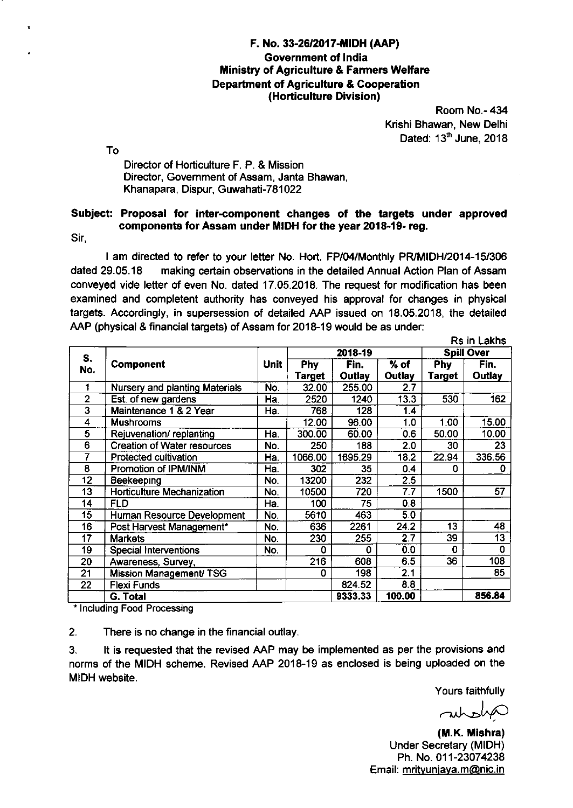## F. No. 33-26/2017-MIDH (AAP) Government of lndia **Ministry of Agriculture & Farmers Welfare** Departnent of Agriculture & Cooperation (Horticulture Division)

Room No.- 434 Krishi Bhawan, New Delhi Dated:  $13<sup>th</sup>$  June, 2018

o T

Director of Horliculture F. P. & Mission Director, Government of Assam, Janta Bhawan, Khanapara, Dispur, Guwahati-781022

## Subiect: Proposal for inter-component changes of the targets under approved components for Assam under MIDH for the year 2018-19- reg.

Sir,

I am directed to refer to your letter No. Hort. FPl04/Monthly PFyMIDH/2014-15/306 dated 29.05.18 making certain observations in the detailed Annual Action Plan of Assam conveyed vide letter of even No. dated '17.05.2018. The request for modification has been examined and completent authority has conveyed his approval for changes in physical targets. Accordingly, in supersession of detailed AAP issued on '18.05.20'18, the detailed AAP (physical & financial targets) of Assam for 2018-19 would be as under:

|                         |                                       |             |            |         |                  |               | Rs in Lakhs       |
|-------------------------|---------------------------------------|-------------|------------|---------|------------------|---------------|-------------------|
| S.                      |                                       |             |            | 2018-19 |                  |               | <b>Spill Over</b> |
| No.                     | <b>Component</b>                      | <b>Unit</b> | <b>Phy</b> | Fin.    | $%$ of           | <b>Phy</b>    | Fin.              |
|                         |                                       |             | Target     | Outlay  | <b>Outlay</b>    | <b>Target</b> | <b>Outlay</b>     |
| 1                       | <b>Nursery and planting Materials</b> | No.         | 32.00      | 255.00  | 2.7              |               |                   |
| $\overline{2}$          | Est. of new gardens                   | Ha.         | 2520       | 1240    | 13.3             | 530           | 162               |
| $\overline{\mathbf{3}}$ | Maintenance 1 & 2 Year                | Ha.         | 768        | 128     | 1.4              |               |                   |
| 4                       | <b>Mushrooms</b>                      |             | 12.00      | 96.00   | 1.0              | 1.00          | 15.00             |
| 5                       | Rejuvenation/replanting               | Ha.         | 300.00     | 60.00   | 0.6              | 50.00         | 10.00             |
| 6                       | <b>Creation of Water resources</b>    | No.         | 250        | 188     | 2.0              | 30            | 23                |
| 7                       | Protected cultivation                 | Ha.         | 1066.00    | 1695.29 | 18.2             | 22.94         | 336.56            |
| 8                       | Promotion of IPM/INM                  | Ha.         | 302        | 35      | 0.4              | 0             | 0                 |
| 12                      | Beekeeping                            | No.         | 13200      | 232     | $\overline{2.5}$ |               |                   |
| 13                      | <b>Horticulture Mechanization</b>     | No.         | 10500      | 720     | 7.7              | 1500          | 57                |
| 14                      | <b>FLD</b>                            | Ha.         | 100        | 75      | 0.8              |               |                   |
| 15                      | Human Resource Development            | No.         | 5610       | 463     | 5.0              |               |                   |
| 16                      | Post Harvest Management*              | No.         | 636        | 2261    | 24.2             | 13            | 48                |
| 17                      | <b>Markets</b>                        | No.         | 230        | 255     | 2.7              | 39            | 13                |
| 19                      | <b>Special Interventions</b>          | No.         | 0          | 0       | 0.0              | 0             | 0                 |
| 20                      | Awareness, Survey,                    |             | 216        | 608     | 6.5              | 36            | 108               |
| 21                      | Mission Management/ TSG               |             | 0          | 198     | 2.1              |               | 85                |
| 22                      | <b>Flexi Funds</b>                    |             |            | 824.52  | 8.8              |               |                   |
|                         | G. Total                              |             |            | 9333.33 | 100.00           |               | 856.84            |

\* lncluding Food Processing

2. There is no change in the financial outlay.

3. lt is requested that the revised AAP may be implemented as per the provisions and norms of the MIDH scheme. Revised AAP 2018-19 as enclosed is being uploaded on the MIDH website.

Yours faithfully

antonio

(M.K. Mishra) Under Secretary (MIDH) Ph. No. 011-23074238 Email: mrityunjaya.m@nic.in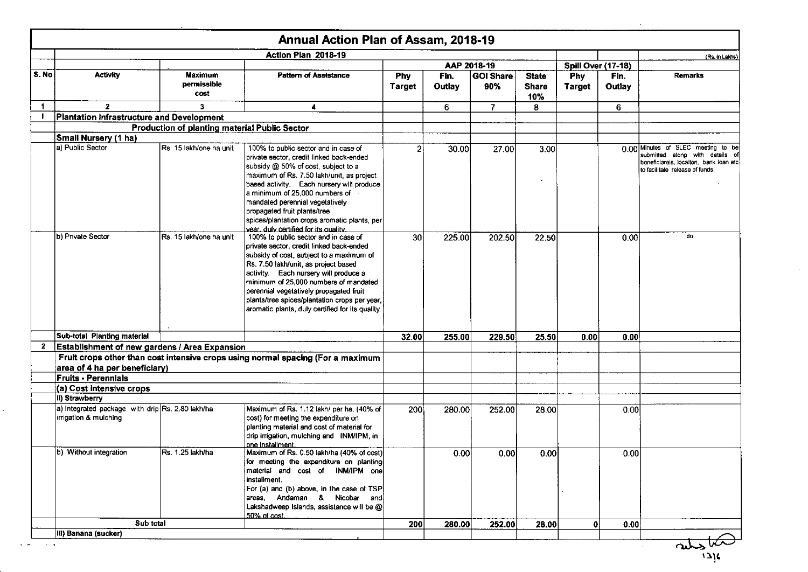|                   |                                                                           |                                               | Annual Action Plan of Assam, 2018-19                                                                                                                                                                                                                                                                                                                                                                            |                             |                |                         |                                     |                             |                |                                                                                                                                                    |
|-------------------|---------------------------------------------------------------------------|-----------------------------------------------|-----------------------------------------------------------------------------------------------------------------------------------------------------------------------------------------------------------------------------------------------------------------------------------------------------------------------------------------------------------------------------------------------------------------|-----------------------------|----------------|-------------------------|-------------------------------------|-----------------------------|----------------|----------------------------------------------------------------------------------------------------------------------------------------------------|
|                   |                                                                           |                                               | Action Plan 2018-19                                                                                                                                                                                                                                                                                                                                                                                             |                             |                |                         |                                     |                             |                | (Rs. in Lakhs)                                                                                                                                     |
|                   |                                                                           |                                               |                                                                                                                                                                                                                                                                                                                                                                                                                 |                             |                | AAP 2018-19             |                                     | <b>Spill Over (17-18)</b>   |                |                                                                                                                                                    |
| S. No             | <b>Activity</b>                                                           | <b>Maximum</b><br>permissible<br>cost         | <b>Pattern of Assistance</b>                                                                                                                                                                                                                                                                                                                                                                                    | <b>Phy</b><br><b>Target</b> | Fin.<br>Outlay | <b>GOI Share</b><br>90% | <b>State</b><br><b>Share</b><br>10% | <b>Phy</b><br><b>Target</b> | Fin.<br>Outlay | <b>Remarks</b>                                                                                                                                     |
| $\mathbf 1$       | $\mathbf{z}$                                                              | $\mathbf{3}$                                  | 4                                                                                                                                                                                                                                                                                                                                                                                                               |                             | 6              | $\overline{7}$          | 8                                   |                             | 6              |                                                                                                                                                    |
| $\blacksquare$    | Plantation Infrastructure and Development                                 |                                               |                                                                                                                                                                                                                                                                                                                                                                                                                 |                             |                |                         |                                     |                             |                |                                                                                                                                                    |
|                   |                                                                           | Production of planting material Public Sector |                                                                                                                                                                                                                                                                                                                                                                                                                 |                             |                |                         |                                     |                             |                |                                                                                                                                                    |
|                   | Small Nursery (1 ha)                                                      |                                               |                                                                                                                                                                                                                                                                                                                                                                                                                 |                             |                |                         |                                     |                             |                |                                                                                                                                                    |
|                   | a) Public Sector                                                          | Rs. 15 lakh/one ha unit                       | 100% to public sector and in case of<br>private sector, credit linked back-ended<br>subsidy @ 50% of cost, subject to a<br>maximum of Rs. 7.50 lakh/unit, as project<br>based activity. Each nursery will produce<br>a minimum of 25,000 numbers of<br>mandated perennial vegetatively<br>propagated fruit plants/tree<br>spices/plantation crops aromatic plants, per<br>vear, duly certified for its quality. | 2                           | 30.00          | 27.00                   | 3.00                                |                             |                | 0.00 Minutes of SLEC meeting to be<br>submitted along with details of<br>beneficiareis, localton, bank ioan etc<br>to facilitate release of funds. |
|                   | b) Private Sector                                                         | Rs. 15 lakh/one ha unit                       | 100% to public sector and in case of<br>private sector, credit linked back-ended<br>subsidy of cost, subject to a maximum of<br>Rs. 7.50 lakh/unit, as project based<br>activity. Each nursery will produce a<br>minimum of 25,000 numbers of mandated<br>perennial vegetatively propagated fruit<br>plants/tree spices/plantation crops per year,<br>aromatic plants, duly certified for its quality.          | 30 <sup>°</sup>             | 225.00         | 202.50                  | 22.50                               |                             | 0.00           | do                                                                                                                                                 |
|                   | Sub-total Planting material                                               |                                               |                                                                                                                                                                                                                                                                                                                                                                                                                 | 32.00                       | 255.00         | 229.50                  | 25.50                               | 0.00                        | 0.00           |                                                                                                                                                    |
| $\mathbf{2}$      | Establishment of new gardens / Area Expansion                             |                                               |                                                                                                                                                                                                                                                                                                                                                                                                                 |                             |                |                         |                                     |                             |                |                                                                                                                                                    |
|                   | area of 4 ha per beneficiary)                                             |                                               | Fruit crops other than cost intensive crops using normal spacing (For a maximum                                                                                                                                                                                                                                                                                                                                 |                             |                |                         |                                     |                             |                |                                                                                                                                                    |
|                   | <b>Fruits - Perennials</b>                                                |                                               |                                                                                                                                                                                                                                                                                                                                                                                                                 |                             |                |                         |                                     |                             |                |                                                                                                                                                    |
|                   | (a) Cost intensive crops                                                  |                                               |                                                                                                                                                                                                                                                                                                                                                                                                                 |                             |                |                         |                                     |                             |                |                                                                                                                                                    |
|                   | il) Strawberry                                                            |                                               |                                                                                                                                                                                                                                                                                                                                                                                                                 |                             |                |                         |                                     |                             |                |                                                                                                                                                    |
|                   | a) Integrated package with drip Rs. 2.80 lakh/ha<br>irrigation & mulching |                                               | Maximum of Rs. 1.12 lakh/ per ha. (40% of<br>cost) for meeting the expenditure on<br>planting material and cost of material for<br>drip irrigation, mulching and INM/IPM, in<br>one installment.                                                                                                                                                                                                                | 200                         | 280.00         | 252.00                  | 28.00                               |                             | 0.00           |                                                                                                                                                    |
|                   | b) Without integration                                                    | Rs. 1.25 lakh/ha                              | Maximum of Rs. 0.50 lakh/ha (40% of cost)<br>for meeting the expenditure on planting<br>material and cost of INM/IPM one<br>installment.<br>For (a) and (b) above, in the case of TSP<br>areas, Andaman & Nicobar and<br>Lakshadweep Islands, assistance will be $@ $<br>50% of cost.                                                                                                                           |                             | 0.00           | 0.00                    | 0.00                                |                             | 0.00           |                                                                                                                                                    |
|                   | Sub total                                                                 |                                               |                                                                                                                                                                                                                                                                                                                                                                                                                 | 200                         | 280.00         | 252.00                  | 28.00                               | $\mathbf{0}$                | 0.00           |                                                                                                                                                    |
|                   | III) Banana (sucker)                                                      |                                               |                                                                                                                                                                                                                                                                                                                                                                                                                 |                             |                |                         |                                     |                             |                |                                                                                                                                                    |
| $\sim$ $ \bullet$ |                                                                           |                                               |                                                                                                                                                                                                                                                                                                                                                                                                                 |                             |                |                         |                                     |                             |                |                                                                                                                                                    |
|                   |                                                                           |                                               |                                                                                                                                                                                                                                                                                                                                                                                                                 |                             |                |                         |                                     |                             |                | 216                                                                                                                                                |

 $\sim 10^7$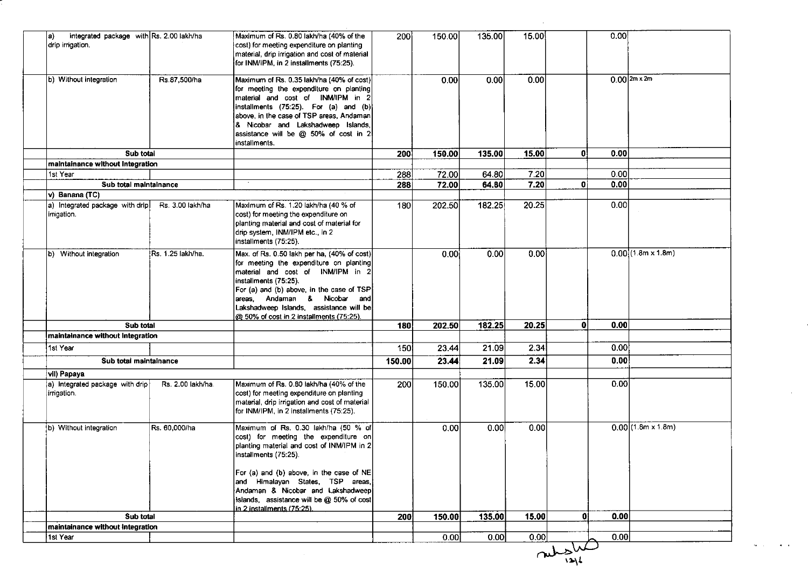| 0.00<br>135.00<br>15.00<br>Integrated package with Rs. 2.00 lakh/ha<br>Maximum of Rs. 0.80 lakh/ha (40% of the<br>200<br>150.00<br>la)<br>drip irrigation.<br>cost) for meeting expenditure on planting<br>material, drip irrigation and cost of material<br>for INM/IPM, in 2 installments (75:25).<br>$0.00$  2m x 2m<br>b) Without integration<br>Rs.87,500/ha<br>0.00<br>0.00<br>0.00<br>Maximum of Rs. 0.35 lakh/ha (40% of cost)<br>for meeting the expenditure on planting<br>material and cost of INM/IPM in 2<br>installments (75:25). For (a) and (b)<br>above, in the case of TSP areas, Andaman<br>& Nicobar and Lakshadweep Islands,<br>assistance will be @ 50% of cost in 2<br>installments.<br>0<br>Sub total<br>135.00<br>15.00<br>0.00<br>200<br>150.00<br>maintainance without Integration<br>7.20<br>72.00<br>64.80<br>0.001<br>1st Year<br>288<br>0.00<br>7.20<br>0 i<br>72.00<br>64.80<br>Sub total maintainance<br>288<br>v) Banana (TC)<br>0.00<br>a) Integrated package with drip<br>Maximum of Rs. 1.20 lakh/ha (40 % of<br>202.50<br>182.25<br>20.25<br>Rs. 3.00 lakh/ha<br>180<br>cost) for meeting the expenditure on<br>irrigation.<br>planting material and cost of material for<br>drip system, INM/IPM etc., in 2<br>installments (75:25).<br>$0.00$ (1.8m x 1.8m)<br>0.00<br>Rs. 1.25 lakh/ha.<br>Max. of Rs. 0.50 lakh per ha, (40% of cost)<br>0.00<br>0.00<br>b) Without integration<br>for meeting the expenditure on planting<br>material and cost of INM/IPM in 2<br>installments (75:25).<br>For (a) and (b) above, in the case of TSP<br>areas, Andaman & Nicobar and<br>Lakshadweep Islands, assistance will be<br>@ 50% of cost in 2 installments (75:25).<br>182.25<br>20.25<br>Οl<br>0.00<br>Sub total<br><b>180</b><br>202.50<br>maintainance without Integration<br>0.00!<br>1st Year<br>21.09<br>2.34<br>150<br>23.44<br>21.09<br>2.34<br>0.00<br>Sub total maintainance<br>150.00<br>23.44<br>vil) Papaya<br>0.00<br>Maximum of Rs. 0.80 lakh/ha (40% of the<br>150.00<br>135.00<br>15.00<br>a) integrated package with drip<br>Rs. 2.00 lakh/ha.<br>200<br>cost) for meeting expenditure on planting<br>irrigation.<br>material, drip irrigation and cost of material<br>for INM/IPM, in 2 installments (75:25).<br>$0.00(1.8m \times 1.8m)$<br>Maximum of Rs. 0.30 lakh/ha (50 % of<br>0.00<br>0.00<br>b) Without integration<br>Rs. 60,000/ha<br>0.00<br>cost) for meeting the expenditure on<br>planting material and cost of INM/IPM in 2<br>installments (75:25).<br>For (a) and (b) above, in the case of NE<br>and Himalayan States, TSP areas,<br>Andaman & Nicobar and Lakshadweep<br>islands, assistance will be @ 50% of cost<br>in 2 installments (75:25).<br>200<br>135.00<br>15.00<br>۵I<br>0.00<br>Sub total<br>150.00<br>maintainance without integration |          |  |      |      |      |      |  |
|------------------------------------------------------------------------------------------------------------------------------------------------------------------------------------------------------------------------------------------------------------------------------------------------------------------------------------------------------------------------------------------------------------------------------------------------------------------------------------------------------------------------------------------------------------------------------------------------------------------------------------------------------------------------------------------------------------------------------------------------------------------------------------------------------------------------------------------------------------------------------------------------------------------------------------------------------------------------------------------------------------------------------------------------------------------------------------------------------------------------------------------------------------------------------------------------------------------------------------------------------------------------------------------------------------------------------------------------------------------------------------------------------------------------------------------------------------------------------------------------------------------------------------------------------------------------------------------------------------------------------------------------------------------------------------------------------------------------------------------------------------------------------------------------------------------------------------------------------------------------------------------------------------------------------------------------------------------------------------------------------------------------------------------------------------------------------------------------------------------------------------------------------------------------------------------------------------------------------------------------------------------------------------------------------------------------------------------------------------------------------------------------------------------------------------------------------------------------------------------------------------------------------------------------------------------------------------------------------------------------------------------------------------------------------------------------------------------------------------------------------------------------------------------------------------------------------|----------|--|------|------|------|------|--|
|                                                                                                                                                                                                                                                                                                                                                                                                                                                                                                                                                                                                                                                                                                                                                                                                                                                                                                                                                                                                                                                                                                                                                                                                                                                                                                                                                                                                                                                                                                                                                                                                                                                                                                                                                                                                                                                                                                                                                                                                                                                                                                                                                                                                                                                                                                                                                                                                                                                                                                                                                                                                                                                                                                                                                                                                                              |          |  |      |      |      |      |  |
|                                                                                                                                                                                                                                                                                                                                                                                                                                                                                                                                                                                                                                                                                                                                                                                                                                                                                                                                                                                                                                                                                                                                                                                                                                                                                                                                                                                                                                                                                                                                                                                                                                                                                                                                                                                                                                                                                                                                                                                                                                                                                                                                                                                                                                                                                                                                                                                                                                                                                                                                                                                                                                                                                                                                                                                                                              |          |  |      |      |      |      |  |
|                                                                                                                                                                                                                                                                                                                                                                                                                                                                                                                                                                                                                                                                                                                                                                                                                                                                                                                                                                                                                                                                                                                                                                                                                                                                                                                                                                                                                                                                                                                                                                                                                                                                                                                                                                                                                                                                                                                                                                                                                                                                                                                                                                                                                                                                                                                                                                                                                                                                                                                                                                                                                                                                                                                                                                                                                              |          |  |      |      |      |      |  |
|                                                                                                                                                                                                                                                                                                                                                                                                                                                                                                                                                                                                                                                                                                                                                                                                                                                                                                                                                                                                                                                                                                                                                                                                                                                                                                                                                                                                                                                                                                                                                                                                                                                                                                                                                                                                                                                                                                                                                                                                                                                                                                                                                                                                                                                                                                                                                                                                                                                                                                                                                                                                                                                                                                                                                                                                                              |          |  |      |      |      |      |  |
|                                                                                                                                                                                                                                                                                                                                                                                                                                                                                                                                                                                                                                                                                                                                                                                                                                                                                                                                                                                                                                                                                                                                                                                                                                                                                                                                                                                                                                                                                                                                                                                                                                                                                                                                                                                                                                                                                                                                                                                                                                                                                                                                                                                                                                                                                                                                                                                                                                                                                                                                                                                                                                                                                                                                                                                                                              |          |  |      |      |      |      |  |
|                                                                                                                                                                                                                                                                                                                                                                                                                                                                                                                                                                                                                                                                                                                                                                                                                                                                                                                                                                                                                                                                                                                                                                                                                                                                                                                                                                                                                                                                                                                                                                                                                                                                                                                                                                                                                                                                                                                                                                                                                                                                                                                                                                                                                                                                                                                                                                                                                                                                                                                                                                                                                                                                                                                                                                                                                              |          |  |      |      |      |      |  |
|                                                                                                                                                                                                                                                                                                                                                                                                                                                                                                                                                                                                                                                                                                                                                                                                                                                                                                                                                                                                                                                                                                                                                                                                                                                                                                                                                                                                                                                                                                                                                                                                                                                                                                                                                                                                                                                                                                                                                                                                                                                                                                                                                                                                                                                                                                                                                                                                                                                                                                                                                                                                                                                                                                                                                                                                                              |          |  |      |      |      |      |  |
|                                                                                                                                                                                                                                                                                                                                                                                                                                                                                                                                                                                                                                                                                                                                                                                                                                                                                                                                                                                                                                                                                                                                                                                                                                                                                                                                                                                                                                                                                                                                                                                                                                                                                                                                                                                                                                                                                                                                                                                                                                                                                                                                                                                                                                                                                                                                                                                                                                                                                                                                                                                                                                                                                                                                                                                                                              |          |  |      |      |      |      |  |
|                                                                                                                                                                                                                                                                                                                                                                                                                                                                                                                                                                                                                                                                                                                                                                                                                                                                                                                                                                                                                                                                                                                                                                                                                                                                                                                                                                                                                                                                                                                                                                                                                                                                                                                                                                                                                                                                                                                                                                                                                                                                                                                                                                                                                                                                                                                                                                                                                                                                                                                                                                                                                                                                                                                                                                                                                              |          |  |      |      |      |      |  |
|                                                                                                                                                                                                                                                                                                                                                                                                                                                                                                                                                                                                                                                                                                                                                                                                                                                                                                                                                                                                                                                                                                                                                                                                                                                                                                                                                                                                                                                                                                                                                                                                                                                                                                                                                                                                                                                                                                                                                                                                                                                                                                                                                                                                                                                                                                                                                                                                                                                                                                                                                                                                                                                                                                                                                                                                                              |          |  |      |      |      |      |  |
|                                                                                                                                                                                                                                                                                                                                                                                                                                                                                                                                                                                                                                                                                                                                                                                                                                                                                                                                                                                                                                                                                                                                                                                                                                                                                                                                                                                                                                                                                                                                                                                                                                                                                                                                                                                                                                                                                                                                                                                                                                                                                                                                                                                                                                                                                                                                                                                                                                                                                                                                                                                                                                                                                                                                                                                                                              |          |  |      |      |      |      |  |
|                                                                                                                                                                                                                                                                                                                                                                                                                                                                                                                                                                                                                                                                                                                                                                                                                                                                                                                                                                                                                                                                                                                                                                                                                                                                                                                                                                                                                                                                                                                                                                                                                                                                                                                                                                                                                                                                                                                                                                                                                                                                                                                                                                                                                                                                                                                                                                                                                                                                                                                                                                                                                                                                                                                                                                                                                              |          |  |      |      |      |      |  |
|                                                                                                                                                                                                                                                                                                                                                                                                                                                                                                                                                                                                                                                                                                                                                                                                                                                                                                                                                                                                                                                                                                                                                                                                                                                                                                                                                                                                                                                                                                                                                                                                                                                                                                                                                                                                                                                                                                                                                                                                                                                                                                                                                                                                                                                                                                                                                                                                                                                                                                                                                                                                                                                                                                                                                                                                                              |          |  |      |      |      |      |  |
|                                                                                                                                                                                                                                                                                                                                                                                                                                                                                                                                                                                                                                                                                                                                                                                                                                                                                                                                                                                                                                                                                                                                                                                                                                                                                                                                                                                                                                                                                                                                                                                                                                                                                                                                                                                                                                                                                                                                                                                                                                                                                                                                                                                                                                                                                                                                                                                                                                                                                                                                                                                                                                                                                                                                                                                                                              |          |  |      |      |      |      |  |
|                                                                                                                                                                                                                                                                                                                                                                                                                                                                                                                                                                                                                                                                                                                                                                                                                                                                                                                                                                                                                                                                                                                                                                                                                                                                                                                                                                                                                                                                                                                                                                                                                                                                                                                                                                                                                                                                                                                                                                                                                                                                                                                                                                                                                                                                                                                                                                                                                                                                                                                                                                                                                                                                                                                                                                                                                              |          |  |      |      |      |      |  |
|                                                                                                                                                                                                                                                                                                                                                                                                                                                                                                                                                                                                                                                                                                                                                                                                                                                                                                                                                                                                                                                                                                                                                                                                                                                                                                                                                                                                                                                                                                                                                                                                                                                                                                                                                                                                                                                                                                                                                                                                                                                                                                                                                                                                                                                                                                                                                                                                                                                                                                                                                                                                                                                                                                                                                                                                                              |          |  |      |      |      |      |  |
|                                                                                                                                                                                                                                                                                                                                                                                                                                                                                                                                                                                                                                                                                                                                                                                                                                                                                                                                                                                                                                                                                                                                                                                                                                                                                                                                                                                                                                                                                                                                                                                                                                                                                                                                                                                                                                                                                                                                                                                                                                                                                                                                                                                                                                                                                                                                                                                                                                                                                                                                                                                                                                                                                                                                                                                                                              |          |  |      |      |      |      |  |
|                                                                                                                                                                                                                                                                                                                                                                                                                                                                                                                                                                                                                                                                                                                                                                                                                                                                                                                                                                                                                                                                                                                                                                                                                                                                                                                                                                                                                                                                                                                                                                                                                                                                                                                                                                                                                                                                                                                                                                                                                                                                                                                                                                                                                                                                                                                                                                                                                                                                                                                                                                                                                                                                                                                                                                                                                              |          |  |      |      |      |      |  |
|                                                                                                                                                                                                                                                                                                                                                                                                                                                                                                                                                                                                                                                                                                                                                                                                                                                                                                                                                                                                                                                                                                                                                                                                                                                                                                                                                                                                                                                                                                                                                                                                                                                                                                                                                                                                                                                                                                                                                                                                                                                                                                                                                                                                                                                                                                                                                                                                                                                                                                                                                                                                                                                                                                                                                                                                                              |          |  |      |      |      |      |  |
|                                                                                                                                                                                                                                                                                                                                                                                                                                                                                                                                                                                                                                                                                                                                                                                                                                                                                                                                                                                                                                                                                                                                                                                                                                                                                                                                                                                                                                                                                                                                                                                                                                                                                                                                                                                                                                                                                                                                                                                                                                                                                                                                                                                                                                                                                                                                                                                                                                                                                                                                                                                                                                                                                                                                                                                                                              | 1st Year |  | 0.00 | 0.00 | 0.00 | 0.00 |  |
| $\omega_{\rm gas}^{\rm max}$                                                                                                                                                                                                                                                                                                                                                                                                                                                                                                                                                                                                                                                                                                                                                                                                                                                                                                                                                                                                                                                                                                                                                                                                                                                                                                                                                                                                                                                                                                                                                                                                                                                                                                                                                                                                                                                                                                                                                                                                                                                                                                                                                                                                                                                                                                                                                                                                                                                                                                                                                                                                                                                                                                                                                                                                 |          |  |      |      |      |      |  |

 $\mathcal{L}^{\text{max}}_{\text{max}}$  , where  $\mathcal{L}^{\text{max}}_{\text{max}}$ 

 $\mathbf{q} = \mathbf{q}^T \mathbf{q}$  ,  $\mathbf{q} = \mathbf{q}^T \mathbf{q}$  ,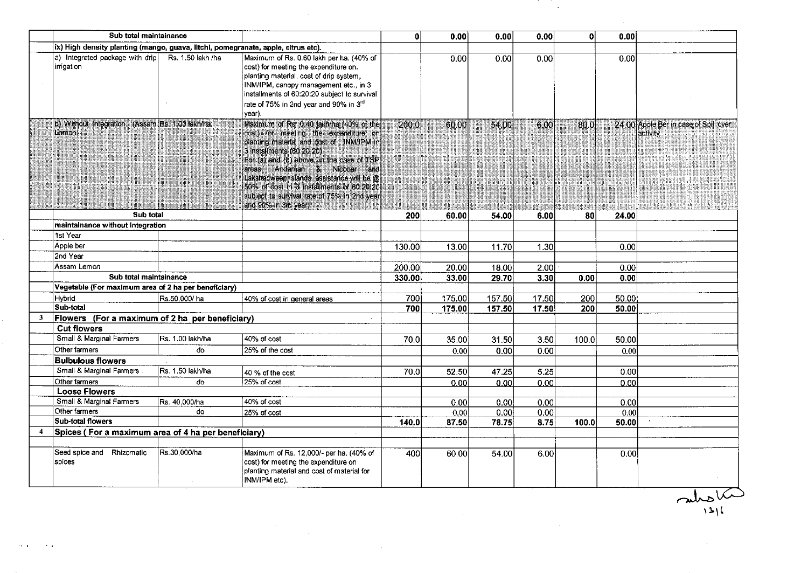|                | Sub total maintainance                                                            |                  |                                                                                                                                                                                                                                                                                                                                                                                                                             | $\mathbf{0}$ | 0.00   | 0.00   | 0.00  | οl    | 0.00  |                                                   |
|----------------|-----------------------------------------------------------------------------------|------------------|-----------------------------------------------------------------------------------------------------------------------------------------------------------------------------------------------------------------------------------------------------------------------------------------------------------------------------------------------------------------------------------------------------------------------------|--------------|--------|--------|-------|-------|-------|---------------------------------------------------|
|                | ix) High density planting (mango, guava, litchi, pomegranate, apple, citrus etc). |                  |                                                                                                                                                                                                                                                                                                                                                                                                                             |              |        |        |       |       |       |                                                   |
|                | a) Integrated package with drip Rs. 1.50 lakh /ha<br>irrigation                   |                  | Maximum of Rs. 0.60 lakh per ha. (40% of<br>cost) for meeting the expenditure on.<br>planting material, cost of drip system,<br>INM/IPM, canopy management etc., in 3<br>installments of 60:20:20 subject to survival<br>rate of 75% in 2nd year and 90% in 3rd<br>year).                                                                                                                                                   |              | 0.00   | 0.00   | 0.00  |       | 0.00  |                                                   |
|                | b) Without Integration: (Assam Rs. 1.00 lakh/ha.<br>Lemon                         |                  | Maximum of Rs. 0.40 lakh/ha (40% of the<br>cost) for meeting the expenditure on<br>planting material and cost of INM/IPM in<br>3 installments (60:20:20).<br>For (a) and (b) shove, in the case of TSP<br>lareas, Andaman & Nicobar and<br>Lakshadweep Islands, assistance will be @<br>150% of cost in 3 installments of 60:20:20<br>subject to survival rate of 75% in 2nd year<br>land 90% in 3rd year) and the state of | 200.0        | 60.00  | 54.00  | 6.00  | 80.0  |       | 24.00 Apple Ber in case of Spill over<br>activity |
|                | Sub total                                                                         |                  |                                                                                                                                                                                                                                                                                                                                                                                                                             | 200          | 60.00  | 54.00  | 6.00  | 80    | 24.00 |                                                   |
|                | maintainance without Integration                                                  |                  |                                                                                                                                                                                                                                                                                                                                                                                                                             |              |        |        |       |       |       |                                                   |
|                | 1st Year                                                                          |                  |                                                                                                                                                                                                                                                                                                                                                                                                                             |              |        |        |       |       |       |                                                   |
|                | Apple ber                                                                         |                  |                                                                                                                                                                                                                                                                                                                                                                                                                             | 130.00       | 13.00  | 11.70  | 1.30  |       | 0.00  |                                                   |
|                | 2nd Year                                                                          |                  |                                                                                                                                                                                                                                                                                                                                                                                                                             |              |        |        |       |       |       |                                                   |
|                | Assam Lemon                                                                       |                  |                                                                                                                                                                                                                                                                                                                                                                                                                             | 200.001      | 20.00  | 18.00  | 2.00  |       | 0.001 |                                                   |
|                | Sub total maintainance                                                            |                  |                                                                                                                                                                                                                                                                                                                                                                                                                             | 330.00       | 33.00  | 29.70  | 3.30  | 0.00  | 0.00  |                                                   |
|                | Vegetable (For maximum area of 2 ha per beneficiary)                              |                  |                                                                                                                                                                                                                                                                                                                                                                                                                             |              |        |        |       |       |       |                                                   |
|                | <b>H</b> ybrid                                                                    | Rs.50,000/ha     | 40% of cost in general areas                                                                                                                                                                                                                                                                                                                                                                                                | 7001         | 175.00 | 157.50 | 17.50 | 200   | 50.00 |                                                   |
|                | Sub-total                                                                         |                  |                                                                                                                                                                                                                                                                                                                                                                                                                             | 700          | 175.00 | 157.50 | 17.50 | 200   | 50,00 |                                                   |
| 3              | Flowers (For a maximum of 2 ha per beneficiary)                                   |                  |                                                                                                                                                                                                                                                                                                                                                                                                                             |              |        |        |       |       |       |                                                   |
|                | <b>Cut flowers</b>                                                                |                  |                                                                                                                                                                                                                                                                                                                                                                                                                             |              |        |        |       |       |       |                                                   |
|                | Small & Marginal Farmers                                                          | Rs. 1.00 lakh/ha | 40% of cost                                                                                                                                                                                                                                                                                                                                                                                                                 | 70.0         | 35.00  | 31.50  | 3.50  | 100.0 | 50.00 |                                                   |
|                | Other farmers                                                                     | do               | 25% of the cost                                                                                                                                                                                                                                                                                                                                                                                                             |              | 0.00   | 0.00   | 0.00  |       | 0.00  |                                                   |
|                | <b>Bulbulous flowers</b>                                                          |                  |                                                                                                                                                                                                                                                                                                                                                                                                                             |              |        |        |       |       |       |                                                   |
|                | Small & Marginal Farmers                                                          | Rs. 1.50 lakh/ha | 40 % of the cost                                                                                                                                                                                                                                                                                                                                                                                                            | 70.0         | 52.50  | 47.25  | 5.25  |       | 0.00  |                                                   |
|                | Other farmers                                                                     | do               | 25% of cost                                                                                                                                                                                                                                                                                                                                                                                                                 |              | 0.00   | 0.00   | 0.00  |       | 0.00  |                                                   |
|                | <b>Loose Flowers</b>                                                              |                  |                                                                                                                                                                                                                                                                                                                                                                                                                             |              |        |        |       |       |       |                                                   |
|                | Small & Marginal Farmers                                                          | Rs. 40,000/ha    | 40% of cost                                                                                                                                                                                                                                                                                                                                                                                                                 |              | 0.00   | 0.00   | 0.00  |       | 0.00  |                                                   |
|                | Other farmers                                                                     | do               | 25% of cost                                                                                                                                                                                                                                                                                                                                                                                                                 |              | 0.00   | 0.00   | 0.00  |       | 0.00  |                                                   |
|                | <b>Sub-total flowers</b>                                                          |                  |                                                                                                                                                                                                                                                                                                                                                                                                                             | 140.0        | 87.50  | 78.75  | 8.75  | 100.0 | 50.00 |                                                   |
| $\overline{4}$ | Spices (For a maximum area of 4 ha per beneficiary)                               |                  | ÷.                                                                                                                                                                                                                                                                                                                                                                                                                          |              |        |        |       |       |       |                                                   |
|                |                                                                                   |                  |                                                                                                                                                                                                                                                                                                                                                                                                                             |              |        |        |       |       |       |                                                   |
|                | Seed spice and Rhizomatic<br>spices                                               | Rs.30,000/ha     | Maximum of Rs. 12,000/- per ha. (40% of<br>cost) for meeting the expenditure on<br>planting material and cost of material for<br>INM/IPM etc).                                                                                                                                                                                                                                                                              | 400          | 60.00  | 54.00  | 6.00  |       | 0.00  |                                                   |

 $\frac{1}{2} \left( \frac{1}{2} \right)$  ,  $\frac{1}{2} \left( \frac{1}{2} \right)$ 

 $\sim 10^{-10}$ 

 $\frac{1}{2}$ 

 $\sim 10^6$ 

 $\label{eq:2.1} \begin{split} \mathcal{L}_{\text{max}}(\mathbf{r}) = \mathcal{L}_{\text{max}}(\mathbf{r}) \mathcal{L}_{\text{max}}(\mathbf{r}) \end{split}$ 

 $\alpha$  or  $\beta$  ,  $\beta$  or

ÎД.

sulphus la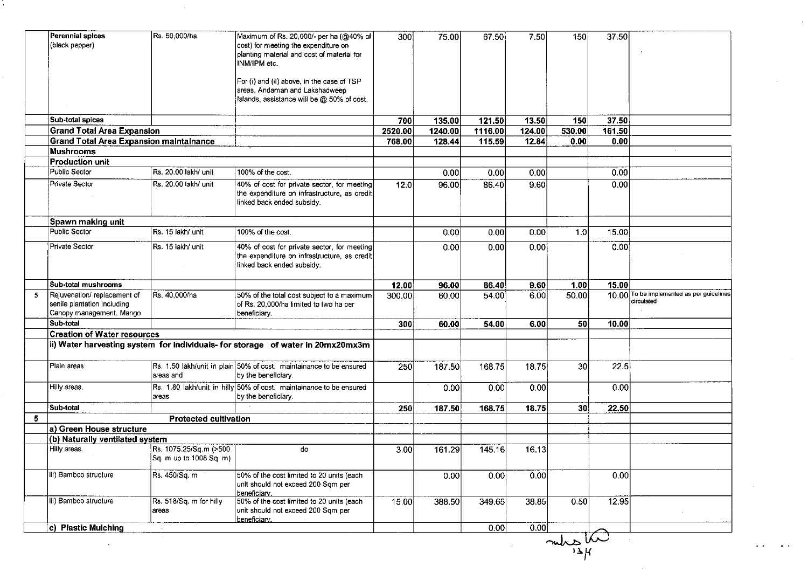|    | <b>Perennial spices</b>                                                             | Rs. 50,000/ha                | Maximum of Rs. 20,000/- per ha (@40% of                                         | 300     | 75.00   | 67.50             | 7.50            | 150             | 37.50          |                                           |
|----|-------------------------------------------------------------------------------------|------------------------------|---------------------------------------------------------------------------------|---------|---------|-------------------|-----------------|-----------------|----------------|-------------------------------------------|
|    | (black pepper)                                                                      |                              | cost) for meeting the expenditure on                                            |         |         |                   |                 |                 |                |                                           |
|    |                                                                                     |                              | planting material and cost of material for<br>INM/IPM etc.                      |         |         |                   |                 |                 |                |                                           |
|    |                                                                                     |                              |                                                                                 |         |         |                   |                 |                 |                |                                           |
|    |                                                                                     |                              | For (i) and (ii) above, in the case of TSP                                      |         |         |                   |                 |                 |                |                                           |
|    |                                                                                     |                              | areas, Andaman and Lakshadweep                                                  |         |         |                   |                 |                 |                |                                           |
|    |                                                                                     |                              | Islands, assistance will be @ 50% of cost.                                      |         |         |                   |                 |                 |                |                                           |
|    |                                                                                     |                              |                                                                                 |         |         |                   |                 |                 |                |                                           |
|    | Sub-total spices                                                                    |                              |                                                                                 | 700     | 135.00  | 121.50            | 13.50           | 150             | 37,50          |                                           |
|    | <b>Grand Total Area Expansion</b><br><b>Grand Total Area Expansion maintainance</b> |                              |                                                                                 | 2520.00 | 1240.00 | 1116.00<br>115.59 | 124.00<br>12.84 | 530.00<br>0.00  | 161.50<br>0.00 |                                           |
|    | <b>Mushrooms</b>                                                                    |                              |                                                                                 | 768.00  | 128.44  |                   |                 |                 |                |                                           |
|    | <b>Production unit</b>                                                              |                              |                                                                                 |         |         |                   |                 |                 |                |                                           |
|    | Public Sector                                                                       | Rs. 20.00 lakh/ unit         | 100% of the cost.                                                               |         | 0.00    | 0.00              | 0.00            |                 | 0.00           |                                           |
|    | Private Sector                                                                      | Rs. 20.00 lakh/ unit         | 40% of cost for private sector, for meeting                                     | 12.0    | 96.00   | 86.40             | 9.60            |                 | 0.00           |                                           |
|    |                                                                                     |                              | the expenditure on infrastructure, as credit                                    |         |         |                   |                 |                 |                |                                           |
|    |                                                                                     |                              | linked back ended subsidy.                                                      |         |         |                   |                 |                 |                |                                           |
|    |                                                                                     |                              |                                                                                 |         |         |                   |                 |                 |                |                                           |
|    | Spawn making unit                                                                   |                              |                                                                                 |         |         |                   |                 |                 |                |                                           |
|    | Public Sector                                                                       | Rs. 15 lakh/ unit            | 100% of the cost.                                                               |         | 0.00    | 0.00              | 0.00            | 1.0             | 15.00          |                                           |
|    | Private Sector                                                                      | <b>IRs. 15 lakh/ unit</b>    | 40% of cost for private sector, for meeting                                     |         | 0.00    | 0.00              | 0.001           |                 | 0.00           |                                           |
|    |                                                                                     |                              | the expenditure on infrastructure, as credit                                    |         |         |                   |                 |                 |                |                                           |
|    |                                                                                     |                              | linked back ended subsidy.                                                      |         |         |                   |                 |                 |                |                                           |
|    | Sub-total mushrooms                                                                 |                              |                                                                                 | 12.00   | 96.00   | 86.40             | 9.60            | 1.00            | 15.00          |                                           |
| 5. | Rejuvenation/replacement of                                                         | Rs. 40,000/ha                | 50% of the total cost subject to a maximum                                      | 300.00  | 60.00   | 54.00             | 6.00            | 50.00           |                | 10.00 To be implemented as per guidelines |
|    | senile plantation including                                                         |                              | of Rs. 20,000/ha limited to two ha per                                          |         |         |                   |                 |                 |                | circulated                                |
|    | Canopy management. Mango                                                            |                              | beneficiary.                                                                    |         |         |                   |                 |                 |                |                                           |
|    | Sub-total                                                                           |                              |                                                                                 | 300     | 60.00   | 54.00             | 6.00            | 50              | 10.00          |                                           |
|    | <b>Creation of Water resources</b>                                                  |                              |                                                                                 |         |         |                   |                 |                 |                |                                           |
|    |                                                                                     |                              | ii) Water harvesting system for individuals- for storage of water in 20mx20mx3m |         |         |                   |                 |                 |                |                                           |
|    | Plain areas                                                                         |                              | Rs. 1.50 lakh/unit in plain 50% of cost. maintainance to be ensured             | 250     | 187.50  | 168.75            | 18.75           | 30 <sub>l</sub> | 22.5           |                                           |
|    |                                                                                     | areas and                    | by the beneficiary.                                                             |         |         |                   |                 |                 |                |                                           |
|    | Hilly areas.                                                                        |                              | Rs. 1.80 lakh/unit in hilly 50% of cost. maintainance to be ensured             |         | 0.00    | 0.00              | 0.00            |                 | 0.00           |                                           |
|    |                                                                                     | areas                        | by the beneficiary.                                                             |         |         |                   |                 |                 |                |                                           |
|    | Sub-total                                                                           |                              |                                                                                 | 250     | 187.50  | 168.75            | 18.75           | 30              | 22.50          |                                           |
| 5  |                                                                                     | <b>Protected cultivation</b> |                                                                                 |         |         |                   |                 |                 |                |                                           |
|    | a) Green House structure                                                            |                              |                                                                                 |         |         |                   |                 |                 |                |                                           |
|    | (b) Naturally ventilated system                                                     |                              |                                                                                 |         |         |                   |                 |                 |                |                                           |
|    | Hilly areas.                                                                        | Rs. 1075.25/Sq.m (>500       | do                                                                              | 3.00    | 161.29  | 145.16            | 16.13           |                 |                |                                           |
|    |                                                                                     | Sq. m up to 1008 Sq. m)      |                                                                                 |         |         |                   |                 |                 |                |                                           |
|    | iii) Bamboo structure                                                               | Rs. 450/Sa. m                | 50% of the cost limited to 20 units (each                                       |         | 0.00    | 0.00              | 0.00            |                 | 0.00           |                                           |
|    |                                                                                     |                              | unit should not exceed 200 Sqm per                                              |         |         |                   |                 |                 |                |                                           |
|    | iii) Bamboo structure                                                               | Rs. 518/Sq. m for hilly      | beneficiary.<br>50% of the cost limited to 20 units (each                       |         |         |                   | 38.85           | 0.50            | 12.95          |                                           |
|    |                                                                                     | areas                        | unit should not exceed 200 Sqm per                                              | 15.00   | 388.50  | 349.65            |                 |                 |                |                                           |
|    |                                                                                     |                              | beneficiary.                                                                    |         |         |                   |                 |                 |                |                                           |
|    | c) Plastic Mulching                                                                 | $\sim$                       |                                                                                 |         |         | 0.00              | 0.00            |                 |                |                                           |
|    |                                                                                     |                              |                                                                                 |         |         |                   |                 | $m\hbar s\hbar$ |                |                                           |
|    |                                                                                     |                              |                                                                                 |         |         |                   |                 |                 |                |                                           |
|    |                                                                                     |                              |                                                                                 |         |         |                   |                 |                 |                |                                           |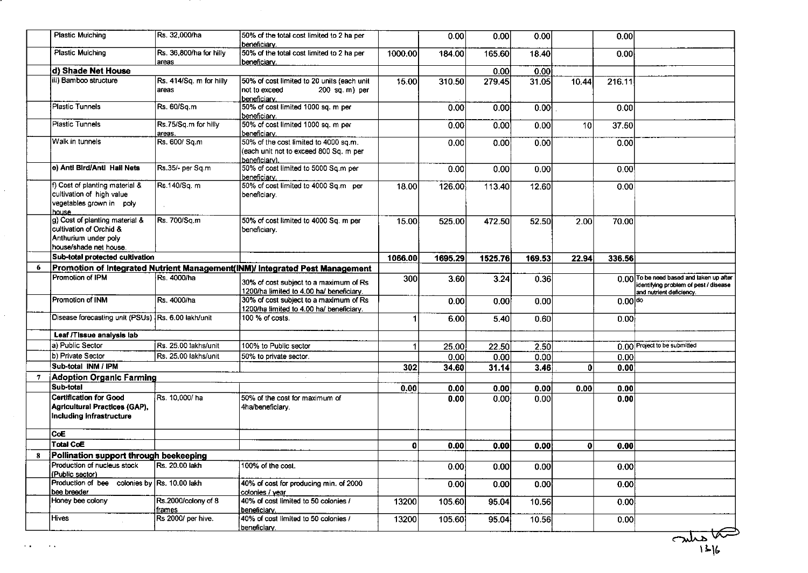|   | <b>Plastic Mulching</b>                                                                                               | Rs. 32,000/ha                    | 50% of the total cost limited to 2 ha per<br>beneficiary.                                        |         | 0.00    | 0.00    | 0.00   |                 | 0.00      |                                                                                                               |
|---|-----------------------------------------------------------------------------------------------------------------------|----------------------------------|--------------------------------------------------------------------------------------------------|---------|---------|---------|--------|-----------------|-----------|---------------------------------------------------------------------------------------------------------------|
|   | Plastic Mulching                                                                                                      | Rs. 36,800/ha for hilly<br>areas | 50% of the total cost limited to 2 ha per<br>beneficiary.                                        | 1000.00 | 184.00  | 165.60  | 18.40  |                 | 0.00      |                                                                                                               |
|   | d) Shade Net House                                                                                                    |                                  |                                                                                                  |         |         | 0.00    | 0.00   |                 |           |                                                                                                               |
|   | iii) Bamboo structure                                                                                                 | Rs. 414/Sq. m for hilly          | 50% of cost limited to 20 units (each unit                                                       |         |         |         |        |                 |           |                                                                                                               |
|   |                                                                                                                       | areas                            | not to exceed<br>$200$ sq. m) per<br>beneficiary.                                                | 15.00   | 310.50  | 279.45  | 31.05  | 10.44           | 216.11    |                                                                                                               |
|   | <b>Plastic Tunnels</b>                                                                                                | Rs. 60/Sq.m                      | 50% of cost limited 1000 sq. m per<br>beneficiary.                                               |         | 0.00    | 0.00    | 0.00   |                 | 0.00      |                                                                                                               |
|   | Plastic Tunnels                                                                                                       | Rs.75/Sq.m for hilly<br>areas.   | 50% of cost limited 1000 sq. m per<br>beneficiary.                                               |         | 0.00    | 0.00    | 0.00   | 10 <sup>1</sup> | 37.50     |                                                                                                               |
|   | Walk in tunnels                                                                                                       | Rs. 600/ Sq.m                    | 50% of the cost limited to 4000 sq.m.<br>(each unit not to exceed 800 Sq. m per<br>beneficiary). |         | 0.00    | 0.00    | 0.00   |                 | 0.00      |                                                                                                               |
|   | e) Anti Bird/Anti Hail Nets                                                                                           | Rs.35/- per Sq.m                 | 50% of cost limited to 5000 Sq.m per<br>beneficiary.                                             |         | 0.00    | 0.00    | 0.00   |                 | 0.00      |                                                                                                               |
|   | f) Cost of planting material &<br>cultivation of high value<br>vegetables grown in poly                               | Rs.140/Sq. m                     | 50% of cost limited to 4000 Sq.m per<br>beneficiary.                                             | 18.00   | 126.00  | 113.40  | 12.60  |                 | 0.00      |                                                                                                               |
|   | house.<br>g) Cost of planting material &<br>cultivation of Orchid &<br>Anthurium under poly<br>house/shade net house. | Rs. 700/Sq.m                     | 50% of cost limited to 4000 Sq. m per<br>beneficiary.                                            | 15.00   | 525.00  | 472.50  | 52.50  | 2.00            | 70.00     |                                                                                                               |
|   |                                                                                                                       |                                  |                                                                                                  |         |         |         |        |                 |           |                                                                                                               |
|   | Sub-total protected cultivation                                                                                       |                                  |                                                                                                  | 1066.00 | 1695.29 | 1525.76 | 169.53 | 22.94           | 336.56    |                                                                                                               |
| 6 |                                                                                                                       |                                  | Promotion of Integrated Nutrient Management(INM)/ Integrated Pest Management                     |         |         |         |        |                 |           |                                                                                                               |
|   | Promotion of IPM                                                                                                      | Rs. 4000/ha                      | 30% of cost subject to a maximum of Rs<br>1200/ha limited to 4.00 ha/ beneficiary.               | 300     | 3.60    | 3.24    | 0.36   |                 |           | 0.00 To be need based and taken up after<br>identifying problem of pest / disease<br>and nutrient deficiency. |
|   | Promotion of INM                                                                                                      | Rs. 4000/ha                      | 30% of cost subject to a maximum of Rs<br>1200/ha limited to 4.00 ha/ beneficiary.               |         | 0.00    | 0.00    | 0.00   |                 | $0.00$ do |                                                                                                               |
|   | Disease forecasting unit (PSUs) Rs. 6.00 lakh/unit                                                                    |                                  | 100 % of costs.                                                                                  |         | 6.00    | 5.40    | 0.60   |                 | 0.001     |                                                                                                               |
|   | Leaf /Tissue analysis lab                                                                                             |                                  |                                                                                                  |         |         |         |        |                 |           |                                                                                                               |
|   | a) Public Sector                                                                                                      | Rs. 25.00 lakhs/unit             | 100% to Public sector                                                                            |         | 25.00   | 22.50   | 2.50   |                 |           | 0.00 Project to be submitted                                                                                  |
|   | b) Private Sector                                                                                                     | Rs. 25.00 lakhs/unit             | 50% to private sector.                                                                           |         | 0.00    | 0.00    | 0.00   |                 | 0.00      |                                                                                                               |
|   | Sub-total INM / IPM                                                                                                   |                                  |                                                                                                  | 302     | 34.60   | 31.14   |        | $\mathbf{0}$    | 0.00      |                                                                                                               |
|   |                                                                                                                       |                                  |                                                                                                  |         |         |         | 3.46   |                 |           |                                                                                                               |
| 7 | Adoption Organic Farming                                                                                              |                                  |                                                                                                  |         |         |         |        |                 |           |                                                                                                               |
|   | Sub-total                                                                                                             |                                  |                                                                                                  | 0.00    | 0.00    | 0.00    | 0.00   | 0.00            | 0.00      |                                                                                                               |
|   | <b>Certification for Good</b><br>Agricultural Practices (GAP),<br>Including infrastructure                            | Rs. 10,000/ha                    | 50% of the cost for maximum of<br>4ha/beneficiary.                                               |         | 0.00    | 0.00    | 0.00   |                 | 0.00      |                                                                                                               |
|   | ∣CoE∶                                                                                                                 |                                  |                                                                                                  |         |         |         |        |                 |           |                                                                                                               |
|   | <b>Total CoE</b>                                                                                                      |                                  |                                                                                                  | 0       | 0.00    | 0.00    | 0.00   | 0l              | 0.00      |                                                                                                               |
| 8 | Pollination support through beekeeping                                                                                |                                  |                                                                                                  |         |         |         |        |                 |           |                                                                                                               |
|   | Production of nucleus stock<br>(Public sector)                                                                        | Rs. 20.00 lakh                   | 100% of the cost.                                                                                |         | 0.00    | 0.00    | 0.00   |                 | 0.00      |                                                                                                               |
|   | Production of bee colonies by Rs. 10.00 lakh<br>bee breeder                                                           |                                  | 40% of cost for producing min. of 2000<br>colonies / year                                        |         | 0.00    | 0.00    | 0.00   |                 | 0.00      |                                                                                                               |
|   | Honey bee colony                                                                                                      | Rs.2000/colony of 8<br>frames    | 40% of cost limited to 50 colonies /<br>beneficiary.                                             | 13200   | 105.60  | 95.04   | 10.56  |                 | 0.00      |                                                                                                               |
|   | <b>Hives</b>                                                                                                          | Rs 2000/ per hive.               | 40% of cost limited to 50 colonies /                                                             | 13200   |         |         |        |                 |           |                                                                                                               |

 $\bar{z}$ 

 $\mathcal{L}_{\mathcal{A}}$ 

 $\sim 10^6$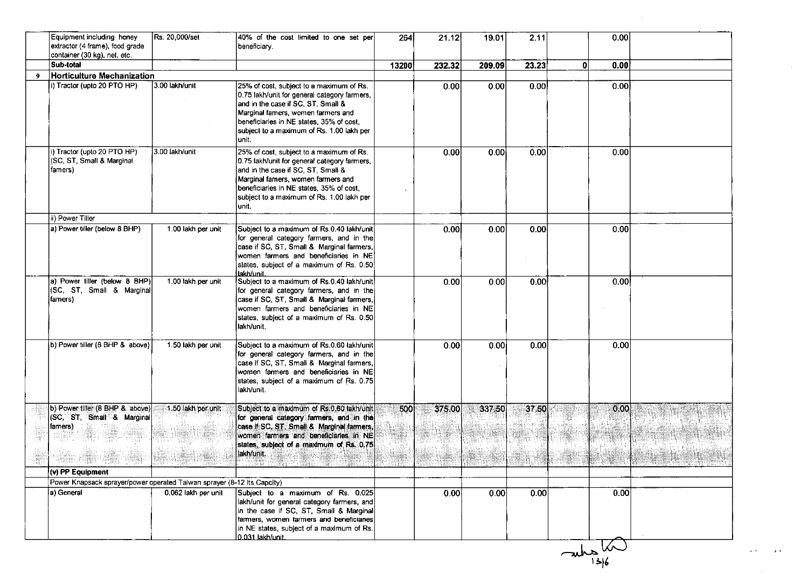|    | Equipment including honey<br>extractor (4 frame), food grade<br>container (30 kg), net, etc. | Rs. 20,000/set      | 40% of the cost limited to one set per<br>beneficiary.                                                                                                                                                                                                                 | 264   | 21.12  | 19.01  | 2.11  | 0.00            |      |
|----|----------------------------------------------------------------------------------------------|---------------------|------------------------------------------------------------------------------------------------------------------------------------------------------------------------------------------------------------------------------------------------------------------------|-------|--------|--------|-------|-----------------|------|
|    | Sub-total                                                                                    |                     |                                                                                                                                                                                                                                                                        | 13200 | 232.32 | 209.09 | 23.23 | 0.00<br>0       |      |
| -9 | Horticulture Mechanization                                                                   |                     |                                                                                                                                                                                                                                                                        |       |        |        |       |                 |      |
|    | i) Tractor (upto 20 PTO HP)                                                                  | 3.00 lakh/unit      | 25% of cost, subject to a maximum of Rs.<br>0.75 lakh/unit for general category farmers,<br>and in the case if SC, ST, Small &<br>Marginal famers, women farmers and<br>beneficiaries in NE states, 35% of cost,<br>subject to a maximum of Rs. 1.00 lakh per<br>unit. |       | 0.00   | 0.00   | 0.00  | 0.00            |      |
|    | i) Tractor (upto 20 PTO HP)<br>(SC, ST, Small & Marginal<br>famers)                          | 3.00 lakh/unit      | 25% of cost, subject to a maximum of Rs.<br>0.75 lakh/unit for general category farmers,<br>and in the case if SC, ST, Small &<br>Marginal famers, women farmers and<br>beneficiaries in NE states, 35% of cost,<br>subject to a maximum of Rs. 1.00 lakh per<br>unit. |       | 0.00   | 0.00   | 0.00  | 0.00            |      |
|    | ii) Power Tiller                                                                             |                     |                                                                                                                                                                                                                                                                        |       |        |        |       |                 |      |
|    | a) Power tiller (below 8 BHP)                                                                | 1.00 lakh per unit  | Subject to a maximum of Rs.0.40 lakh/unit<br>for general category farmers, and in the<br>case if SC, ST, Small & Marginal farmers,<br>women farmers and beneficiaries in NE<br>states, subject of a maximum of Rs. 0.50<br>lakh/unit.                                  |       | 0.00   | 0.00   | 0.00  | 0.00            |      |
|    | a) Power tiller (below 8 BHP)<br>(SC, ST, Small & Marginal<br>(famers)                       | 1.00 lakh per unit  | Subject to a maximum of Rs.0.40 lakh/unit<br>for general category farmers, and in the<br>case if SC, ST, Small & Marginal farmers,<br>women farmers and beneficiaries in NE<br>states, subject of a maximum of Rs. 0.50<br>lakh/unit.                                  |       | 0.00   | 0.00   | 0.00  | 0.00            |      |
|    | b) Power tiller (8 BHP & above)                                                              | 1.50 lakh per unit  | Subject to a maximum of Rs.0.60 lakh/unit<br>for general category farmers, and in the<br>case if SC, ST, Small & Marginal farmers,<br>women farmers and beneficiaries in NE<br>states, subject of a maximum of Rs. 0.75<br>lakh/unit.                                  |       | 0.00   | 0.00   | 0.00  | 0.00            |      |
|    | b) Power tiller (8 BHP & above)<br>(SC, ST, Small & Marginal<br>famers).                     | 1.50 lakh per unit  | Subject to a maximum of Rs.0.60 lakh/unit<br>for general category farmers, and in the<br>case if SC, ST, Small & Marginal farmers,<br>women farmers and beneficiaries in NE<br>states, subject of a maximum of Rs. 0.75<br>lakh/unit.                                  | 500   | 375.00 | 337.50 | 37.50 | 0.00            |      |
|    | (v) PP Equipment                                                                             |                     |                                                                                                                                                                                                                                                                        |       |        |        |       |                 |      |
|    | Power Knapsack sprayer/power operated Taiwan sprayer (8-12 Its Capcity)                      |                     |                                                                                                                                                                                                                                                                        |       |        |        |       |                 |      |
|    | a) General                                                                                   | 0.062 lakh per unit | Subject to a maximum of Rs. 0.025<br>lakh/unit for general category farmers, and<br>in the case if SC, ST, Small & Marginal<br>farmers, women farmers and beneficiaries<br>in NE states, subject of a maximum of Rs.<br>0.031 lakh/unit.                               |       | 0.00   | 0.00   | 0.00  |                 | 0.00 |
|    |                                                                                              |                     |                                                                                                                                                                                                                                                                        |       |        |        |       | $\frac{1}{136}$ |      |

 $\mathcal{L}^{\text{max}}_{\text{max}}$ 

 $\alpha$  ,  $\alpha$ 

 $\sim 10^{-10}$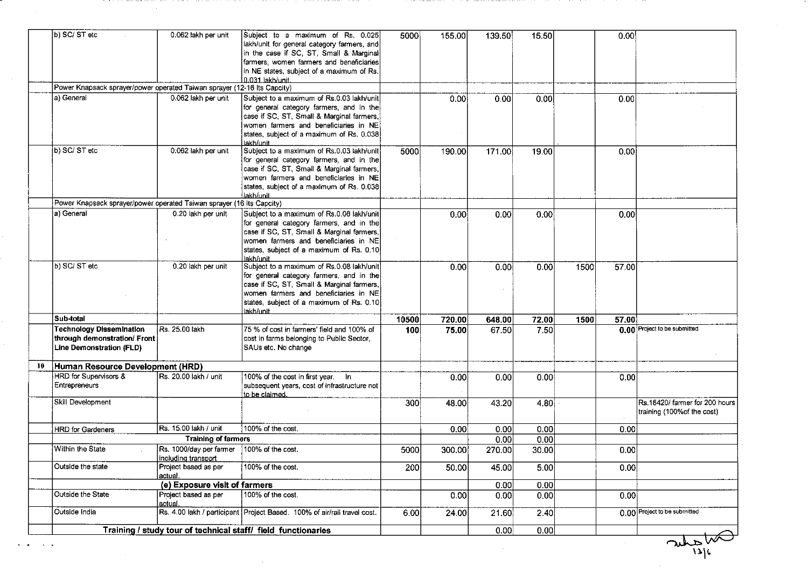|    | b) SC/ ST etc                                                                               | 0.062 lakh per unit                            | Subject to a maximum of Rs. 0.025<br>lakh/unit for general category farmers, and<br>in the case if SC, ST, Small & Marginal<br>farmers, women farmers and beneficiaries<br>in NE states, subject of a maximum of Rs.<br>0.031 lakh/unit. | 5000  | 155.00 | 139.50 | 15.50 |      | 0.00  |                                                              |
|----|---------------------------------------------------------------------------------------------|------------------------------------------------|------------------------------------------------------------------------------------------------------------------------------------------------------------------------------------------------------------------------------------------|-------|--------|--------|-------|------|-------|--------------------------------------------------------------|
|    | Power Knapsack sprayer/power operated Taiwan sprayer (12-16 Its Capcity)                    |                                                |                                                                                                                                                                                                                                          |       |        |        |       |      |       |                                                              |
|    | a) General                                                                                  | 0.062 lakh per unit                            | Subject to a maximum of Rs.0.03 lakh/unit<br>for general category farmers, and in the<br>case if SC, ST, Small & Marginal farmers,<br>women farmers and beneficiaries in NE<br>states, subject of a maximum of Rs. 0.038<br>lakh/unit    |       | 0.00   | 0.00   | 0.00  |      | 0.00  |                                                              |
|    | b) SC/ST etc                                                                                | 0.062 lakh per unit                            | Subject to a maximum of Rs.0.03 lakh/unit<br>for general category farmers, and in the<br>case if SC, ST, Small & Marginal farmers,<br>women farmers and beneficiaries in NE<br>states, subject of a maximum of Rs. 0.038<br>lakh/unit    | 5000  | 190.00 | 171.00 | 19.00 |      | 0.00  |                                                              |
|    | Power Knapsack sprayer/power operated Taiwan sprayer (16 Its Capcity)                       |                                                |                                                                                                                                                                                                                                          |       |        |        |       |      |       |                                                              |
|    | a) General                                                                                  | 0.20 lakh per unit                             | Subject to a maximum of Rs.0.08 lakh/unit<br>for general category farmers, and in the<br>case if SC, ST, Small & Marginal farmers,<br>women farmers and beneficiaries in NE<br>states, subject of a maximum of Rs. 0.10<br>lakh/unit.    |       | 0.00   | 0.00   | 0.00  |      | 0.00  |                                                              |
|    | b) SC/ST etc                                                                                | 0.20 lakh per unit                             | Subject to a maximum of Rs.0.08 lakh/unit<br>for general category farmers, and in the<br>case if SC, ST, Small & Marginal farmers,<br>women farmers and beneficiaries in NE<br>states, subject of a maximum of Rs. 0.10<br>lakh/unit.    |       | 0.00   | 0.00   | 0.00  | 1500 | 57.00 |                                                              |
|    | Sub-total                                                                                   |                                                |                                                                                                                                                                                                                                          | 10500 | 720.00 | 648.00 | 72.00 | 1500 | 57.00 |                                                              |
|    | <b>Technology Dissemination</b><br>through demonstration/ Front<br>Line Demonstration (FLD) | Rs. 25.00 lakh                                 | 75 % of cost in farmers' field and 100% of<br>cost in farms belonging to Public Sector,<br>SAUs etc. No change                                                                                                                           | 100i  | 75.00  | 67.50  | 7.50  |      |       | 0.00 Project to be submitted                                 |
| 10 | Human Resource Development (HRD)                                                            |                                                |                                                                                                                                                                                                                                          |       |        |        |       |      |       |                                                              |
|    | HRD for Supervisors &<br>Entrepreneurs                                                      | Rs. 20.00 lakh / unit                          | 100% of the cost in first year. In<br>subsequent years, cost of infrastructure not<br>to be claimed.                                                                                                                                     |       | 0.00   | 0.00   | 0.00  |      | 0.00  |                                                              |
|    | Skill Development                                                                           |                                                |                                                                                                                                                                                                                                          | 300   | 48.00  | 43.20  | 4.80  |      |       | Rs.16420/farmer for 200 hours<br>training (100% of the cost) |
|    | <b>HRD</b> for Gardeners                                                                    | Rs. 15.00 lakh / unit                          | 100% of the cost.                                                                                                                                                                                                                        |       | 0.00   | 0.00   | 0.00  |      | 0.00  |                                                              |
|    |                                                                                             | <b>Training of farmers</b>                     |                                                                                                                                                                                                                                          |       |        | 0.00   | 0.00  |      |       |                                                              |
|    | Within the State                                                                            | Rs. 1000/day per farmer<br>including transport | 100% of the cost.                                                                                                                                                                                                                        | 5000  | 300.00 | 270.00 | 30.00 |      | 0.00  |                                                              |
|    | Outside the state                                                                           | Project based as per<br>actual.                | 100% of the cost.                                                                                                                                                                                                                        | 200   | 50.00  | 45.00  | 5.00  |      | 0.00  |                                                              |
|    |                                                                                             | (e) Exposure visit of farmers                  |                                                                                                                                                                                                                                          |       |        | 0.00   | 0.00  |      |       |                                                              |
|    | Outside the State                                                                           | Project based as per<br>actual.                | 100% of the cost.                                                                                                                                                                                                                        |       | 0.00   | 0.00   | 0.00  |      | 0.00  |                                                              |
|    | Outside India                                                                               |                                                | Rs. 4.00 lakh / participant Project Based. 100% of air/rail travel cost.                                                                                                                                                                 | 6.00  | 24.00  | 21.60  | 2.40  |      |       | 0.00 Project to be submitted                                 |
|    |                                                                                             |                                                | Training / study tour of technical staff/ field functionaries                                                                                                                                                                            |       |        | 0.00   | 0.00  |      |       |                                                              |

 $\Delta\sim 10$ 

 $\frac{1}{\sqrt{\frac{1}{1-\frac{1}{1-\frac{1}{1-\frac{1}{1-\frac{1}{1-\frac{1}{1-\frac{1}{1-\frac{1}{1-\frac{1}{1-\frac{1}{1-\frac{1}{1-\frac{1}{1-\frac{1}{1-\frac{1}{1-\frac{1}{1-\frac{1}{1-\frac{1}{1-\frac{1}{1-\frac{1}{1-\frac{1}{1-\frac{1}{1-\frac{1}{1-\frac{1}{1-\frac{1}{1-\frac{1}{1-\frac{1}{1-\frac{1}{1-\frac{1}{1-\frac{1}{1-\frac{1}{1-\frac{1}{1-\frac{1}{1-\frac{1}{1-\frac{1}{1-\frac{1}{1-\frac{$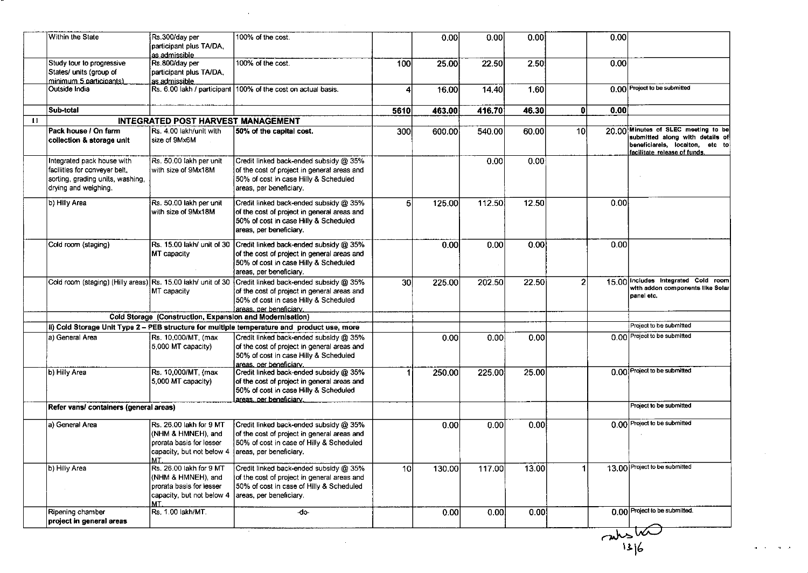| Study tour to progressive<br>States/ units (group of<br>minimum 5 participants)<br>Outside India<br>Sub-total           | participant plus TA/DA,<br>as admissible<br>Rs.800/day per<br>participant plus TA/DA,<br>as admissible<br>Rs. 6.00 lakh / participant | 100% of the cost.                                                                                                                                                                                                      | 100             |        |        |                   |                |      |                                                                                                                                           |
|-------------------------------------------------------------------------------------------------------------------------|---------------------------------------------------------------------------------------------------------------------------------------|------------------------------------------------------------------------------------------------------------------------------------------------------------------------------------------------------------------------|-----------------|--------|--------|-------------------|----------------|------|-------------------------------------------------------------------------------------------------------------------------------------------|
|                                                                                                                         |                                                                                                                                       |                                                                                                                                                                                                                        |                 |        |        |                   |                |      |                                                                                                                                           |
|                                                                                                                         |                                                                                                                                       |                                                                                                                                                                                                                        |                 | 25.00  | 22.50  | 2.50              |                | 0.00 |                                                                                                                                           |
|                                                                                                                         |                                                                                                                                       | 100% of the cost on actual basis.                                                                                                                                                                                      | 4               | 16.00  | 14.40  | 1.60              |                |      | 0.00 Project to be submitted                                                                                                              |
|                                                                                                                         |                                                                                                                                       |                                                                                                                                                                                                                        | 5610            | 463.00 | 416.70 | 46.30             | O              | 0.00 |                                                                                                                                           |
|                                                                                                                         | <b>INTEGRATED POST HARVEST MANAGEMENT</b>                                                                                             |                                                                                                                                                                                                                        |                 |        |        |                   |                |      |                                                                                                                                           |
| Pack house / On farm<br>collection & storage unit                                                                       | Rs. 4.00 lakh/unit with<br>size of 9Mx6M                                                                                              | 50% of the capital cost.                                                                                                                                                                                               | 300             | 600.00 | 540.00 | 60.00             | <b>10</b>      |      | 20.00 Minutes of SLEC meeting to be<br>submitted along with details of<br>beneficiarels, locaiton, etc to<br>facilitate release of funds. |
| Integrated pack house with<br>facilities for conveyer belt,<br>sorting, grading units, washing,<br>drying and weighing. | Rs. 50.00 lakh per unit<br>with size of 9Mx18M                                                                                        | Credit linked back-ended subsidy @ 35%<br>of the cost of project in general areas and<br>50% of cost in case Hilly & Scheduled<br>areas, per beneficiary.                                                              |                 |        | 0.00   | 0.00 <sub>1</sub> |                |      |                                                                                                                                           |
| b) Hilly Area                                                                                                           | Rs. 50.00 lakh per unit<br>with size of 9Mx18M                                                                                        | Credit linked back-ended subsidy @ 35%<br>of the cost of project in general areas and<br>50% of cost in case Hilly & Scheduled<br>areas, per beneficiary.                                                              | 5               | 125.00 | 112.50 | 12.50             |                | 0.00 |                                                                                                                                           |
| Cold room (staging)                                                                                                     | MT capacity                                                                                                                           | Rs. 15.00 lakh/ unit of 30 Credit linked back-ended subsidy @ 35%<br>of the cost of project in general areas and<br>50% of cost in case Hilly & Scheduled<br>areas, per beneficiary.                                   |                 | 0.00   | 0.00   | 0.00              |                | 0.00 |                                                                                                                                           |
|                                                                                                                         | MT capacity                                                                                                                           | Cold room (staging) (Hilly areas) Rs. 15.00 lakh/ unit of 30 Credit linked back-ended subsidy @ 35%<br>of the cost of project in general areas and<br>50% of cost in case Hilly & Scheduled<br>areas, per beneficiary. | 30 <sup>2</sup> | 225.00 | 202.50 | 22.50             | $\overline{2}$ |      | 15.00 Includes Integrated Cold room<br>with addon components like Solar<br>panel etc.                                                     |
|                                                                                                                         | Cold Storage (Construction, Expansion and Modernisation)                                                                              |                                                                                                                                                                                                                        |                 |        |        |                   |                |      |                                                                                                                                           |
|                                                                                                                         |                                                                                                                                       | ii) Cold Storage Unit Type 2 - PEB structure for multiple temperature and product use, more                                                                                                                            |                 |        |        |                   |                |      | Project to be submitted                                                                                                                   |
| a) General Area                                                                                                         | Rs. 10,000/MT, (max<br>5,000 MT capacity)                                                                                             | Credit linked back-ended subsidy @ 35%<br>of the cost of project in general areas and<br>50% of cost in case Hilly & Scheduled<br>areas, per beneficiary.                                                              |                 | 0.00   | 0.00   | 0.00              |                |      | 0.00 Project to be submitted                                                                                                              |
| b) Hilly Area                                                                                                           | Rs. 10,000/MT, (max<br>5,000 MT capacity)                                                                                             | Credit linked back-ended subsidy @ 35%<br>of the cost of project in general areas and<br>50% of cost in case Hilly & Scheduled<br>areas, per beneficiary.                                                              | -1              | 250.00 | 225.00 | 25.00             |                |      | 0.00 Project to be submitted                                                                                                              |
| Refer vans/ containers (general areas)                                                                                  |                                                                                                                                       |                                                                                                                                                                                                                        |                 |        |        |                   |                |      | Project to be submitted                                                                                                                   |
| a) General Area<br>MT                                                                                                   | Rs. 26.00 lakh for 9 MT<br>(NHM & HMNEH), and<br>prorata basis for lesser<br>capacity, but not below 4   areas, per beneficiary.      | Credit linked back-ended subsidy @ 35%<br>of the cost of project in general areas and<br>50% of cost in case of Hilly & Scheduled                                                                                      |                 | 0.00   | 0.00   | 0.00              |                |      | 0.00 Project to be submitted                                                                                                              |
| b) Hilly Area<br>MT.                                                                                                    | Rs. 26.00 lakh for 9 MT<br>(NHM & HMNEH), and<br>prorata basis for lesser<br>capacity, but not below 4                                | Credit linked back-ended subsidy @ 35%<br>of the cost of project in general areas and<br>50% of cost in case of Hilly & Scheduled<br>areas, per beneficiary.                                                           | 10              | 130.00 | 117.00 | 13.00             |                |      | 13.00 Project to be submitted                                                                                                             |
| Ripening chamber<br>project in general areas                                                                            | Rs. 1.00 lakh/MT.                                                                                                                     | d <sub>o</sub>                                                                                                                                                                                                         |                 | 0.00   | 0.00   | 0.00              |                |      | 0.00 Project to be submitted.<br>$\frac{2}{\frac{315}{136}}$                                                                              |

 $\alpha = \alpha^2 - \alpha^2 - \alpha$  .

 $\mathcal{O}(\mathcal{O}(\log n))$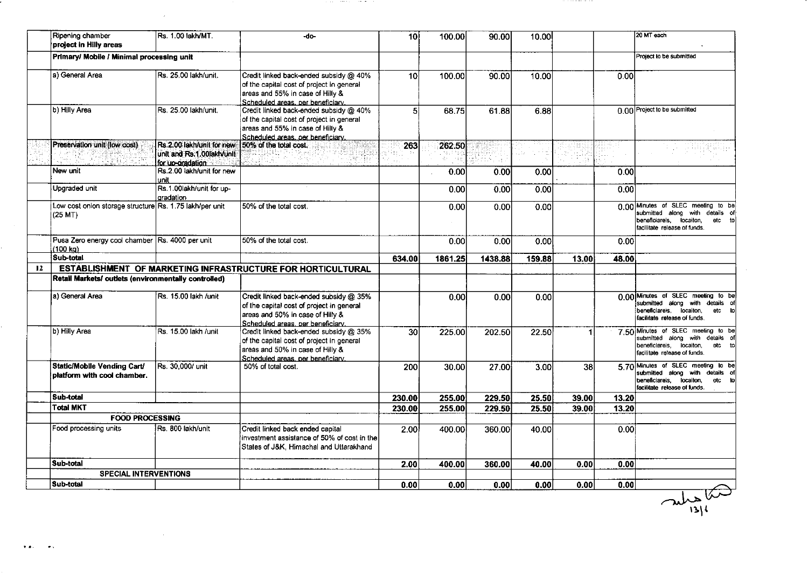|    | Ripening chamber<br>project in Hilly areas                         | Rs. 1.00 lakh/MT.                                                          | -do-                                                                                                                                                         | 10 <sup>1</sup> | 100.00  | 90.00   | 10.00  |       |       | 20 MT each                                                                                                                                        |
|----|--------------------------------------------------------------------|----------------------------------------------------------------------------|--------------------------------------------------------------------------------------------------------------------------------------------------------------|-----------------|---------|---------|--------|-------|-------|---------------------------------------------------------------------------------------------------------------------------------------------------|
|    | Primary/ Mobile / Minimal processing unit                          |                                                                            |                                                                                                                                                              |                 |         |         |        |       |       | Project to be submitted                                                                                                                           |
|    | a) General Area                                                    | Rs. 25.00 lakh/unit.                                                       | Credit linked back-ended subsidy @ 40%<br>of the capital cost of project in general<br>areas and 55% in case of Hilly &<br>Scheduled areas, per beneficiary. | 10              | 100.00  | 90.00   | 10.00  |       | 0.00  |                                                                                                                                                   |
|    | b) Hilly Area                                                      | Rs. 25.00 lakh/unit                                                        | Credit linked back-ended subsidy @ 40%<br>of the capital cost of project in general<br>areas and 55% in case of Hilly &<br>Scheduled areas, per beneficiary, | 51              | 68.75   | 61.88   | 6.88   |       |       | 0.00 Project to be submitted                                                                                                                      |
|    | Preservation unit (low cost)<br>igni.D                             | Rs.2.00 lakh/unit for new<br>unit and Rs.1.00lakh/unit<br>for up-oradation | 50% of the total cost.                                                                                                                                       | 263             | 262.50  |         |        |       |       |                                                                                                                                                   |
|    | New unit                                                           | Rs.2.00 lakh/unit for new<br>unit                                          |                                                                                                                                                              |                 | 0.00    | 0.00    | 0.00   |       | 0.00  |                                                                                                                                                   |
|    | Upgraded unit                                                      | Rs.1.00lakh/unit for up-<br>gradation                                      |                                                                                                                                                              |                 | 0.00    | 0.00    | 0.00   |       | 0.00  |                                                                                                                                                   |
|    | Low cost onion storage structure Rs. 1.75 lakh/per unit<br>(25 MT) |                                                                            | 50% of the total cost.                                                                                                                                       |                 | 0.00    | 0.00    | 0.00   |       |       | 0.00 Minutes of SLEC meeting to be<br>submitted along with details<br>of<br>beneficiareis, locaiton,<br>etc<br>to<br>facilitate release of funds. |
|    | Pusa Zero energy cool chamber Rs. 4000 per unit<br>(100 ka).       |                                                                            | 50% of the total cost.                                                                                                                                       |                 | 0.00    | 0.00    | 0.00   |       | 0.00  |                                                                                                                                                   |
|    | Sub-total                                                          |                                                                            |                                                                                                                                                              | 634.00          | 1861.25 | 1438.88 | 159.88 | 13.00 | 48.00 |                                                                                                                                                   |
| 12 |                                                                    |                                                                            | ESTABLISHMENT OF MARKETING INFRASTRUCTURE FOR HORTICULTURAL                                                                                                  |                 |         |         |        |       |       |                                                                                                                                                   |
|    | Retail Markets/ outlets (environmentally controlled)               |                                                                            |                                                                                                                                                              |                 |         |         |        |       |       |                                                                                                                                                   |
|    | a) General Area                                                    | Rs. 15.00 lakh /unit                                                       | Credit linked back-ended subsidy @ 35%<br>of the capital cost of project in general<br>areas and 50% in case of Hilly &<br>Scheduled areas, per beneficiary, |                 | 0.00    | 0.00    | 0.00   |       |       | 0.00 Minutes of SLEC meeting to be<br>submitted along with details of<br>beneficiareis, locaiton,<br>etc to<br>facilitate release of funds.       |
|    | b) Hilly Area                                                      | Rs. 15.00 lakh /unit                                                       | Credit linked back-ended subsidy @ 35%<br>of the capital cost of project in general<br>areas and 50% in case of Hilly &<br>Scheduled areas, per beneficiary, | $\overline{30}$ | 225.00  | 202.50  | 22.50  |       |       | 7.50 Minutes of SLEC meeting to be<br>submitted along with details<br>beneficiareis, locaiton,<br>etc<br>facilitate release of funds.             |
|    | Static/Mobile Vending Cart/<br>platform with cool chamber.         | Rs. 30,000/ unit                                                           | 50% of total cost.                                                                                                                                           | 200             | 30.00   | 27.00   | 3.00   | 38    |       | 5.70 Minutes of SLEC meeting to be<br>submitted along with details of<br>beneficiareis, locaiton,<br>etc<br>facilitate release of funds.          |
|    | Sub-total                                                          |                                                                            |                                                                                                                                                              | 230.00          | 255.00  | 229.50  | 25.50  | 39.00 | 13.20 |                                                                                                                                                   |
|    | <b>Total MKT</b>                                                   |                                                                            |                                                                                                                                                              | 230.00          | 255.00  | 229.50  | 25.50  | 39.00 | 13.20 |                                                                                                                                                   |
|    | <b>FOOD PROCESSING</b>                                             |                                                                            |                                                                                                                                                              |                 |         |         |        |       |       |                                                                                                                                                   |
|    | Food processing units                                              | Rs. 800 lakh/unit                                                          | Credit linked back ended capital<br>investment assistance of 50% of cost in the<br>States of J&K, Himachal and Uttarakhand                                   | 2.00            | 400.00  | 360.00  | 40.00  |       | 0.00  |                                                                                                                                                   |
|    | Sub-total                                                          |                                                                            |                                                                                                                                                              | 2.00            | 400.00  | 360.00  | 40.00  | 0.00  | 0.00  |                                                                                                                                                   |
|    | <b>SPECIAL INTERVENTIONS</b>                                       |                                                                            |                                                                                                                                                              |                 |         |         |        |       |       |                                                                                                                                                   |
|    | Sub-total                                                          |                                                                            |                                                                                                                                                              | 0.00            | 0.00    | 0.00    | 0.00   | 0.00  | 0.00  |                                                                                                                                                   |

a series de la constancia de la constancia de

 $\mathcal{L}^{\text{max}}_{\text{max}}$ 

 $\mathcal{L}^{\text{max}}_{\text{max}}$ 

 $\langle\bullet\rangle\bullet\in\mathbb{R}^{d}\times\mathbb{R}^{d}\times\mathbb{R}$ 

 $\frac{1}{1314}$